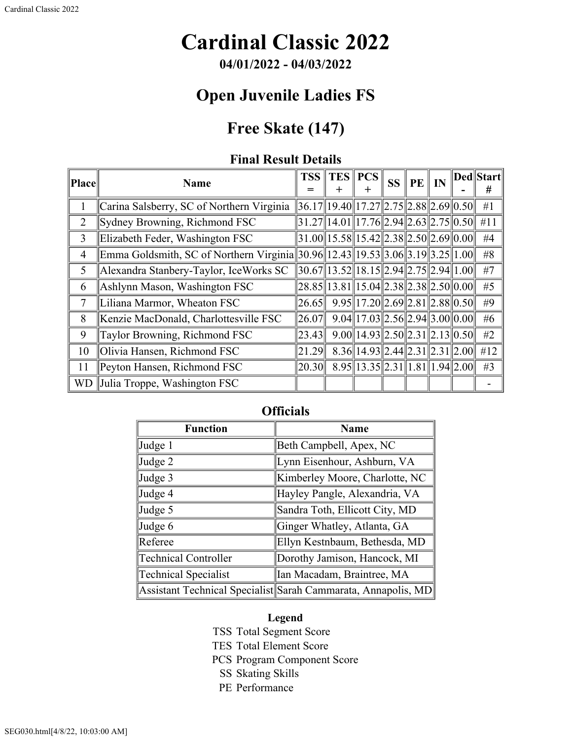# **Cardinal Classic 2022**

**04/01/2022 - 04/03/2022**

### **Open Juvenile Ladies FS**

## **Free Skate (147)**

#### **Final Result Details**

| Place          | <b>Name</b>                                                                   | <b>TSS</b>                                      | <b>TES PCS</b><br>+                                                                                                         | <b>SS</b> | $PE \parallel IN$ |  | Ded  Start <br># |
|----------------|-------------------------------------------------------------------------------|-------------------------------------------------|-----------------------------------------------------------------------------------------------------------------------------|-----------|-------------------|--|------------------|
|                | Carina Salsberry, SC of Northern Virginia                                     | $36.17$   19.40  17.27  2.75  2.88  2.69  0.50  |                                                                                                                             |           |                   |  | #1               |
| $\overline{2}$ | Sydney Browning, Richmond FSC                                                 |                                                 | $31.27$   14.01  17.76  2.94  2.63  2.75  0.50                                                                              |           |                   |  | #11              |
| 3              | Elizabeth Feder, Washington FSC                                               |                                                 | $31.00$   15.58  15.42  2.38  2.50  2.69  0.00                                                                              |           |                   |  | #4               |
| $\overline{4}$ | Emma Goldsmith, SC of Northern Virginia 30.96 12.43 19.53 3.06 3.19 3.25 1.00 |                                                 |                                                                                                                             |           |                   |  | #8               |
| 5              | Alexandra Stanbery-Taylor, IceWorks SC                                        | $\ 30.67\ 13.52\ 18.15\ 2.94\ 2.75\ 2.94\ 1.00$ |                                                                                                                             |           |                   |  | #7               |
| 6              | Ashlynn Mason, Washington FSC                                                 |                                                 | $\vert 28.85 \vert \vert 13.81 \vert \vert 15.04 \vert \vert 2.38 \vert \vert 2.38 \vert \vert 2.50 \vert \vert 0.00 \vert$ |           |                   |  | #5               |
| 7              | Liliana Marmor, Wheaton FSC                                                   | 26.65                                           | $9.95$   17.20  2.69  2.81  2.88  0.50                                                                                      |           |                   |  | #9               |
| 8              | Kenzie MacDonald, Charlottesville FSC                                         | 26.07                                           | $9.04$   17.03  2.56  2.94  3.00  0.00                                                                                      |           |                   |  | #6               |
| 9              | Taylor Browning, Richmond FSC                                                 | 23.43                                           | $9.00$   14.93  2.50  2.31  2.13  0.50                                                                                      |           |                   |  | #2               |
| 10             | Olivia Hansen, Richmond FSC                                                   | 21.29                                           | $8.36$   14.93  2.44  2.31  2.31  2.00                                                                                      |           |                   |  | #12              |
| 11             | Peyton Hansen, Richmond FSC                                                   | 20.30                                           | $8.95$   13.35  2.31  1.81  1.94  2.00                                                                                      |           |                   |  | #3               |
| <b>WD</b>      | Julia Troppe, Washington FSC                                                  |                                                 |                                                                                                                             |           |                   |  |                  |

#### **Officials**

| <b>Function</b>             | <b>Name</b>                                                   |  |  |  |  |
|-----------------------------|---------------------------------------------------------------|--|--|--|--|
| Judge 1                     | Beth Campbell, Apex, NC                                       |  |  |  |  |
| Judge 2                     | Lynn Eisenhour, Ashburn, VA                                   |  |  |  |  |
| Judge 3                     | Kimberley Moore, Charlotte, NC                                |  |  |  |  |
| Judge 4                     | Hayley Pangle, Alexandria, VA                                 |  |  |  |  |
| Judge 5                     | Sandra Toth, Ellicott City, MD                                |  |  |  |  |
| Judge 6                     | Ginger Whatley, Atlanta, GA                                   |  |  |  |  |
| Referee                     | Ellyn Kestnbaum, Bethesda, MD                                 |  |  |  |  |
| <b>Technical Controller</b> | Dorothy Jamison, Hancock, MI                                  |  |  |  |  |
| Technical Specialist        | Ian Macadam, Braintree, MA                                    |  |  |  |  |
|                             | Assistant Technical Specialist Sarah Cammarata, Annapolis, MD |  |  |  |  |

#### **Legend**

- TSS Total Segment Score
- TES Total Element Score
- PCS Program Component Score
	- SS Skating Skills
	- PE Performance